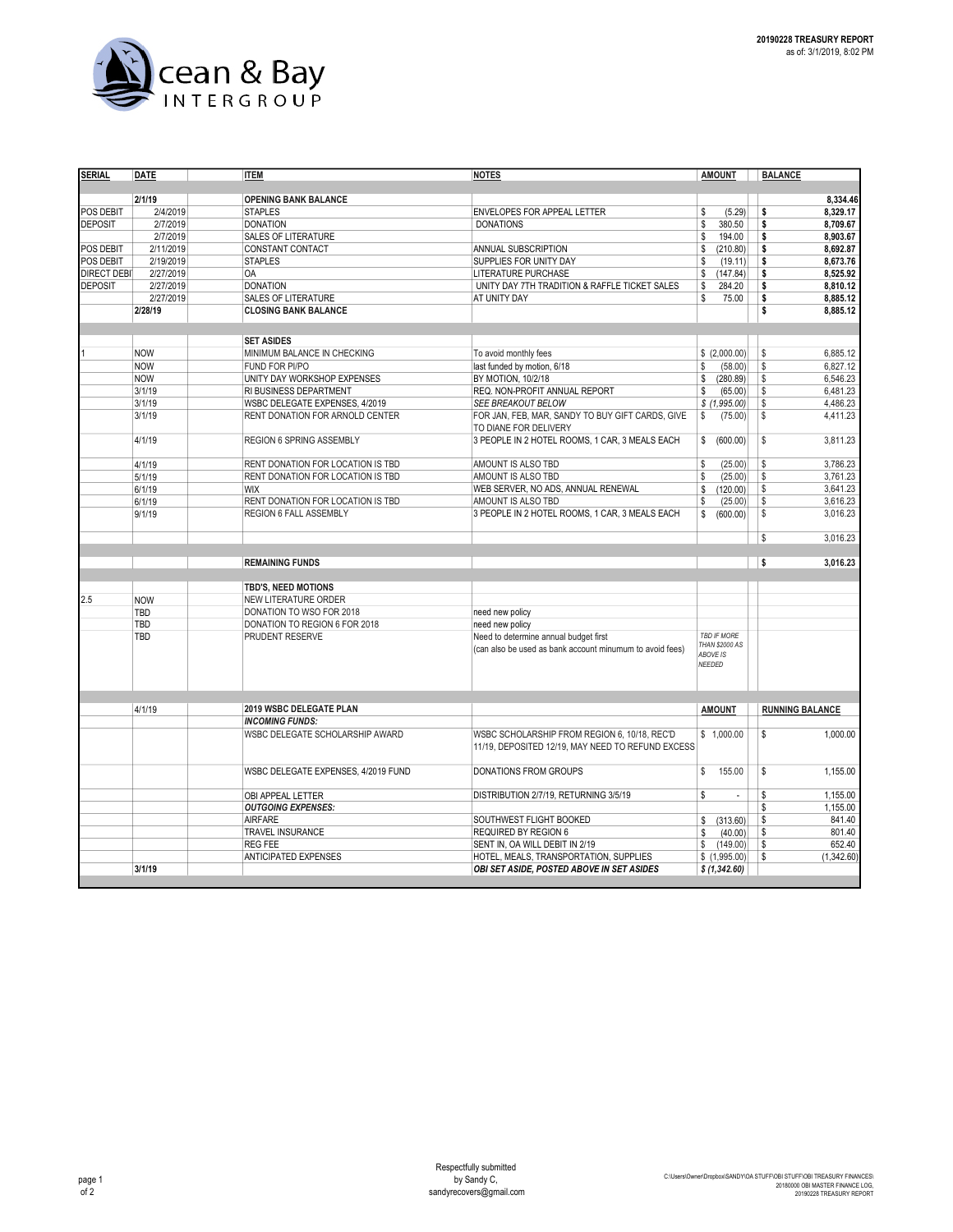

| <b>SERIAL</b>      | <b>DATE</b> | <b>ITEM</b>                         | <b>NOTES</b>                                             | <b>AMOUNT</b>         | <b>BALANCE</b>             |
|--------------------|-------------|-------------------------------------|----------------------------------------------------------|-----------------------|----------------------------|
|                    |             |                                     |                                                          |                       |                            |
|                    | 2/1/19      | <b>OPENING BANK BALANCE</b>         |                                                          |                       | 8,334.46                   |
| POS DEBIT          | 2/4/2019    | <b>STAPLES</b>                      | ENVELOPES FOR APPEAL LETTER                              | \$<br>(5.29)          | 8,329.17<br>\$             |
| <b>DEPOSIT</b>     | 2/7/2019    | <b>DONATION</b>                     | <b>DONATIONS</b>                                         | \$<br>380.50          | 8.709.67<br>\$             |
|                    | 2/7/2019    | SALES OF LITERATURE                 |                                                          | \$<br>194.00          | \$<br>8.903.67             |
| POS DEBIT          | 2/11/2019   | CONSTANT CONTACT                    | ANNUAL SUBSCRIPTION                                      | \$<br>(210.80)        | \$<br>8,692.87             |
| POS DEBIT          | 2/19/2019   | <b>STAPLES</b>                      | SUPPLIES FOR UNITY DAY                                   | \$<br>(19.11)         | \$<br>8,673.76             |
| <b>DIRECT DEBI</b> | 2/27/2019   | 0A                                  | LITERATURE PURCHASE                                      | \$<br>(147.84)        | 8,525.92<br>\$             |
| <b>DEPOSIT</b>     | 2/27/2019   | <b>DONATION</b>                     | UNITY DAY 7TH TRADITION & RAFFLE TICKET SALES            | \$<br>284.20          | \$<br>8.810.12             |
|                    | 2/27/2019   | <b>SALES OF LITERATURE</b>          | AT UNITY DAY                                             | \$<br>75.00           | \$<br>8,885.12             |
|                    | 2/28/19     | <b>CLOSING BANK BALANCE</b>         |                                                          |                       | \$<br>8.885.12             |
|                    |             |                                     |                                                          |                       |                            |
|                    |             |                                     |                                                          |                       |                            |
|                    |             | <b>SET ASIDES</b>                   |                                                          |                       |                            |
|                    | <b>NOW</b>  | MINIMUM BALANCE IN CHECKING         | To avoid monthly fees                                    | \$(2,000.00)          | 6,885.12<br>\$             |
|                    | <b>NOW</b>  | FUND FOR PI/PO                      | last funded by motion, 6/18                              | \$<br>(58.00)         | \$<br>6,827.12             |
|                    | <b>NOW</b>  | UNITY DAY WORKSHOP EXPENSES         | BY MOTION, 10/2/18                                       | \$<br>(280.89)        | \$<br>6,546.23             |
|                    | 3/1/19      | RI BUSINESS DEPARTMENT              | REQ. NON-PROFIT ANNUAL REPORT                            | \$<br>(65.00)         | $$\mathbb{S}$$<br>6,481.23 |
|                    | 3/1/19      | WSBC DELEGATE EXPENSES, 4/2019      | <b>SEE BREAKOUT BELOW</b>                                | \$(1,995.00)          | $\mathbb S$<br>4.486.23    |
|                    | 3/1/19      | RENT DONATION FOR ARNOLD CENTER     | FOR JAN, FEB, MAR, SANDY TO BUY GIFT CARDS, GIVE         | \$<br>(75.00)         | \$<br>4,411.23             |
|                    |             |                                     | TO DIANE FOR DELIVERY                                    |                       |                            |
|                    | 4/1/19      | <b>REGION 6 SPRING ASSEMBLY</b>     | 3 PEOPLE IN 2 HOTEL ROOMS, 1 CAR, 3 MEALS EACH           | \$<br>(600.00)        | \$<br>3.811.23             |
|                    |             |                                     |                                                          |                       |                            |
|                    | 4/1/19      | RENT DONATION FOR LOCATION IS TBD   | AMOUNT IS ALSO TBD                                       | \$<br>(25.00)         | \$<br>3,786.23             |
|                    | 5/1/19      | RENT DONATION FOR LOCATION IS TBD   | AMOUNT IS ALSO TBD                                       | \$<br>(25.00)         | $$\mathbb{S}$$<br>3,761.23 |
|                    | 6/1/19      | <b>WIX</b>                          | WEB SERVER, NO ADS, ANNUAL RENEWAL                       | \$<br>(120.00)        | \$<br>3,641.23             |
|                    | 6/1/19      | RENT DONATION FOR LOCATION IS TBD   | AMOUNT IS ALSO TBD                                       | (25.00)<br>\$         | \$<br>3.616.23             |
|                    | 9/1/19      | REGION 6 FALL ASSEMBLY              | 3 PEOPLE IN 2 HOTEL ROOMS, 1 CAR, 3 MEALS EACH           | (600.00)<br>\$        | $$\mathbb{S}$$<br>3,016.23 |
|                    |             |                                     |                                                          |                       |                            |
|                    |             |                                     |                                                          |                       | $\mathbb S$<br>3.016.23    |
|                    |             |                                     |                                                          |                       |                            |
|                    |             | <b>REMAINING FUNDS</b>              |                                                          |                       | \$<br>3.016.23             |
|                    |             |                                     |                                                          |                       |                            |
|                    |             | TBD'S, NEED MOTIONS                 |                                                          |                       |                            |
| 2.5                | <b>NOW</b>  | <b>NEW LITERATURE ORDER</b>         |                                                          |                       |                            |
|                    | TBD         | DONATION TO WSO FOR 2018            | need new policy                                          |                       |                            |
|                    | <b>TBD</b>  | DONATION TO REGION 6 FOR 2018       | need new policy                                          |                       |                            |
|                    | <b>TBD</b>  | PRUDENT RESERVE                     | Need to determine annual budget first                    | <b>TBD IF MORE</b>    |                            |
|                    |             |                                     |                                                          | <b>THAN \$2000 AS</b> |                            |
|                    |             |                                     | (can also be used as bank account minumum to avoid fees) | ABOVE IS              |                            |
|                    |             |                                     |                                                          | NEEDED                |                            |
|                    |             |                                     |                                                          |                       |                            |
|                    |             |                                     |                                                          |                       |                            |
|                    | 4/1/19      | 2019 WSBC DELEGATE PLAN             |                                                          |                       |                            |
|                    |             | <b>INCOMING FUNDS:</b>              |                                                          | <b>AMOUNT</b>         | <b>RUNNING BALANCE</b>     |
|                    |             |                                     |                                                          |                       |                            |
|                    |             | WSBC DELEGATE SCHOLARSHIP AWARD     | WSBC SCHOLARSHIP FROM REGION 6, 10/18, REC'D             | \$1,000.00            | \$<br>1,000.00             |
|                    |             |                                     | 11/19, DEPOSITED 12/19, MAY NEED TO REFUND EXCESS        |                       |                            |
|                    |             |                                     |                                                          |                       |                            |
|                    |             | WSBC DELEGATE EXPENSES, 4/2019 FUND | DONATIONS FROM GROUPS                                    | \$<br>155.00          | \$<br>1,155.00             |
|                    |             |                                     |                                                          |                       |                            |
|                    |             | OBI APPEAL LETTER                   | DISTRIBUTION 2/7/19, RETURNING 3/5/19                    | \$<br>÷,              | \$<br>1.155.00             |
|                    |             | <b>OUTGOING EXPENSES:</b>           |                                                          |                       | \$<br>1,155.00             |
|                    |             | <b>AIRFARE</b>                      | SOUTHWEST FLIGHT BOOKED                                  | (313.60)<br>\$        | \$<br>841.40               |
|                    |             | TRAVEL INSURANCE                    | <b>REQUIRED BY REGION 6</b>                              | \$<br>(40.00)         | \$<br>801.40               |
|                    |             | <b>REG FEE</b>                      | SENT IN, OA WILL DEBIT IN 2/19                           | \$<br>(149.00)        | \$<br>652.40               |
|                    |             | ANTICIPATED EXPENSES                | HOTEL, MEALS, TRANSPORTATION, SUPPLIES                   | \$ (1,995.00)         | $\mathbb S$<br>(1,342.60)  |
|                    | 3/1/19      |                                     | <b>OBI SET ASIDE, POSTED ABOVE IN SET ASIDES</b>         | \$ (1,342.60)         |                            |
|                    |             |                                     |                                                          |                       |                            |